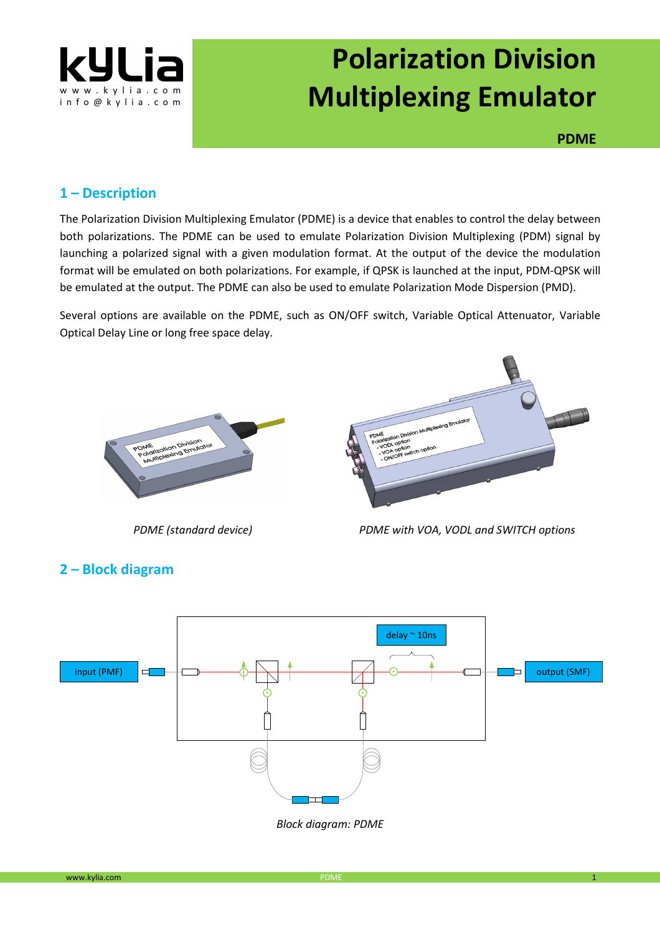

# **Polarization Division Multiplexing Emulator**

**PDME**

#### **1 – Description**

The Polarization Division Multiplexing Emulator (PDME) is a device that enables to control the delay between both polarizations. The PDME can be used to emulate Polarization Division Multiplexing (PDM) signal by launching a polarized signal with a given modulation format. At the output of the device the modulation format will be emulated on both polarizations. For example, if QPSK is launched at the input, PDM-QPSK will be emulated at the output. The PDME can also be used to emulate Polarization Mode Dispersion (PMD).

Several options are available on the PDME, such as ON/OFF switch, Variable Optical Attenuator, Variable Optical Delay Line or long free space delay.





*PDME (standard device) PDME with VOA, VODL and SWITCH options*

## **2 – Block diagram**



*Block diagram: PDME*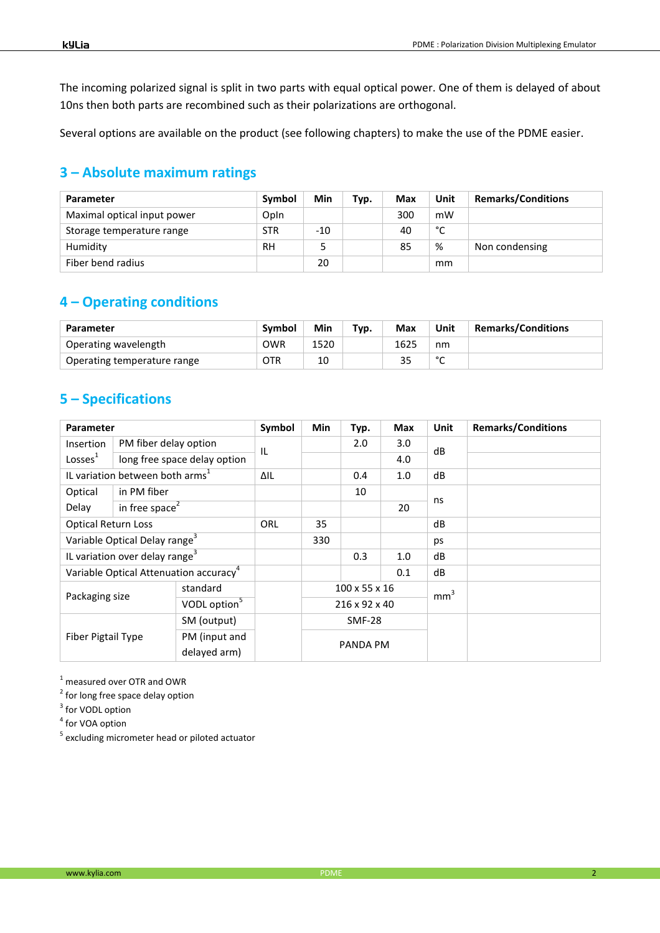The incoming polarized signal is split in two parts with equal optical power. One of them is delayed of about 10ns then both parts are recombined such as their polarizations are orthogonal.

Several options are available on the product (see following chapters) to make the use of the PDME easier.

## **3 – Absolute maximum ratings**

| Parameter                   | Symbol     | Min   | Typ. | Max | Unit | <b>Remarks/Conditions</b> |
|-----------------------------|------------|-------|------|-----|------|---------------------------|
| Maximal optical input power | Opln       |       |      | 300 | mW   |                           |
| Storage temperature range   | <b>STR</b> | $-10$ |      | 40  | ۰    |                           |
| Humidity                    | RH         |       |      | 85  | %    | Non condensing            |
| Fiber bend radius           |            | 20    |      |     | mm   |                           |

## **4 – Operating conditions**

| Parameter                   | Symbol     | Min  | Typ. | Max  | Unit        | <b>Remarks/Conditions</b> |
|-----------------------------|------------|------|------|------|-------------|---------------------------|
| Operating wavelength        | OWR        | 1520 |      | 1625 | nm          |                           |
| Operating temperature range | <b>OTR</b> | 10   |      | 35   | $\sim$<br>∼ |                           |

## **5 – Specifications**

| <b>Parameter</b>                                                   |                              | Symbol | Min                                        | Typ.     | Max | Unit            | <b>Remarks/Conditions</b> |  |
|--------------------------------------------------------------------|------------------------------|--------|--------------------------------------------|----------|-----|-----------------|---------------------------|--|
| Insertion                                                          | PM fiber delay option        |        | IL                                         |          | 2.0 | 3.0             | dB                        |  |
| Losses <sup>1</sup>                                                | long free space delay option |        |                                            |          |     | 4.0             |                           |  |
| IL variation between both arms <sup>1</sup>                        |                              | ΔIL    |                                            | 0.4      | 1.0 | dB              |                           |  |
| Optical                                                            | in PM fiber                  |        |                                            |          | 10  |                 | ns                        |  |
| Delay                                                              | in free space $2$            |        |                                            |          |     | 20              |                           |  |
| <b>Optical Return Loss</b>                                         |                              | ORL    | 35                                         |          |     | dB              |                           |  |
| Variable Optical Delay range <sup>3</sup>                          |                              |        | 330                                        |          |     | ps              |                           |  |
| IL variation over delay range <sup>3</sup>                         |                              |        |                                            | 0.3      | 1.0 | dB              |                           |  |
| Variable Optical Attenuation accuracy <sup>4</sup>                 |                              |        |                                            |          | 0.1 | dB              |                           |  |
| standard<br>Packaging size<br>VODL option <sup>5</sup>             |                              |        | $100 \times 55 \times 16$<br>216 x 92 x 40 |          |     | mm <sup>3</sup> |                           |  |
|                                                                    |                              |        |                                            |          |     |                 |                           |  |
| SM (output)<br>Fiber Pigtail Type<br>PM (input and<br>delayed arm) |                              |        | <b>SMF-28</b>                              |          |     |                 |                           |  |
|                                                                    |                              |        |                                            | PANDA PM |     |                 |                           |  |
|                                                                    |                              |        |                                            |          |     |                 |                           |  |

 $<sup>1</sup>$  measured over OTR and OWR</sup>

<sup>2</sup> for long free space delay option

<sup>3</sup> for VODL option

<sup>4</sup> for VOA option

<sup>5</sup> excluding micrometer head or piloted actuator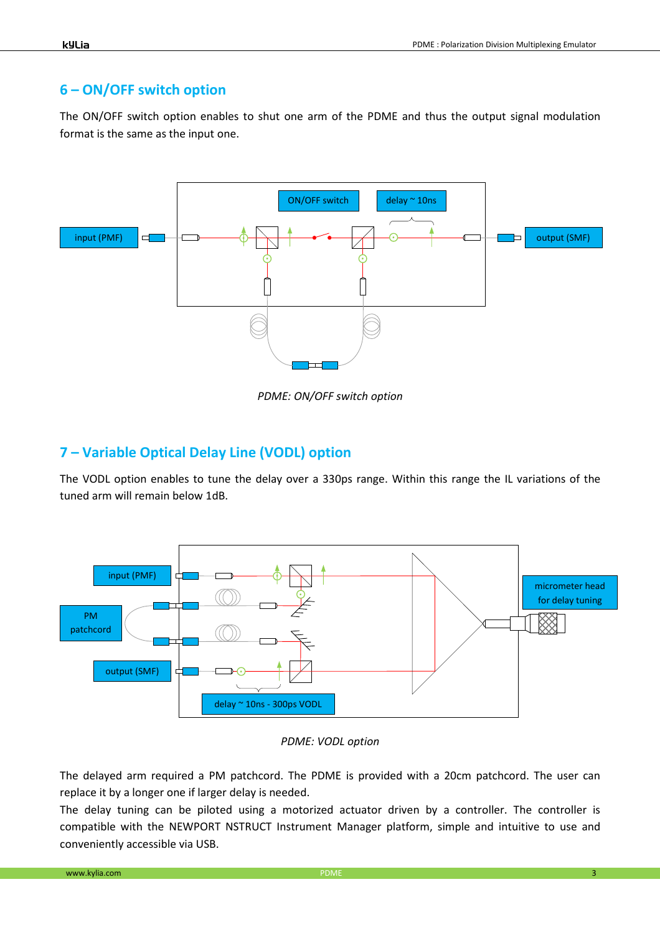# **6 – ON/OFF switch option**

The ON/OFF switch option enables to shut one arm of the PDME and thus the output signal modulation format is the same as the input one.



*PDME: ON/OFF switch option* 

#### **7 – Variable Optical Delay Line (VODL) option**

The VODL option enables to tune the delay over a 330ps range. Within this range the IL variations of the tuned arm will remain below 1dB.



*PDME: VODL option* 

The delayed arm required a PM patchcord. The PDME is provided with a 20cm patchcord. The user can replace it by a longer one if larger delay is needed.

The delay tuning can be piloted using a motorized actuator driven by a controller. The controller is compatible with the NEWPORT NSTRUCT Instrument Manager platform, simple and intuitive to use and conveniently accessible via USB.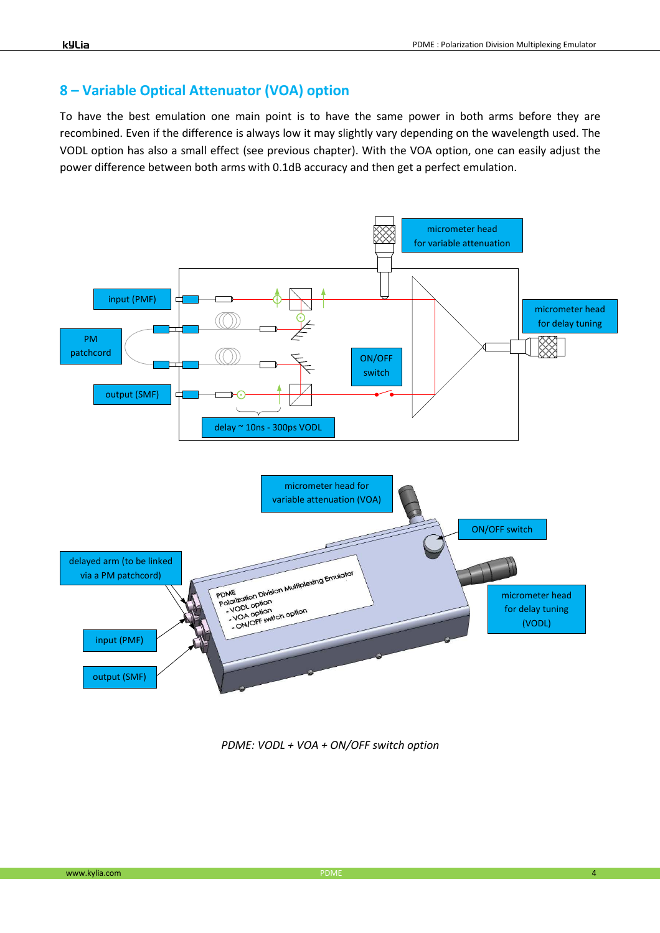#### **8 – Variable Optical Attenuator (VOA) option**

To have the best emulation one main point is to have the same power in both arms before they are recombined. Even if the difference is always low it may slightly vary depending on the wavelength used. The VODL option has also a small effect (see previous chapter). With the VOA option, one can easily adjust the power difference between both arms with 0.1dB accuracy and then get a perfect emulation.



*PDME: VODL + VOA + ON/OFF switch option*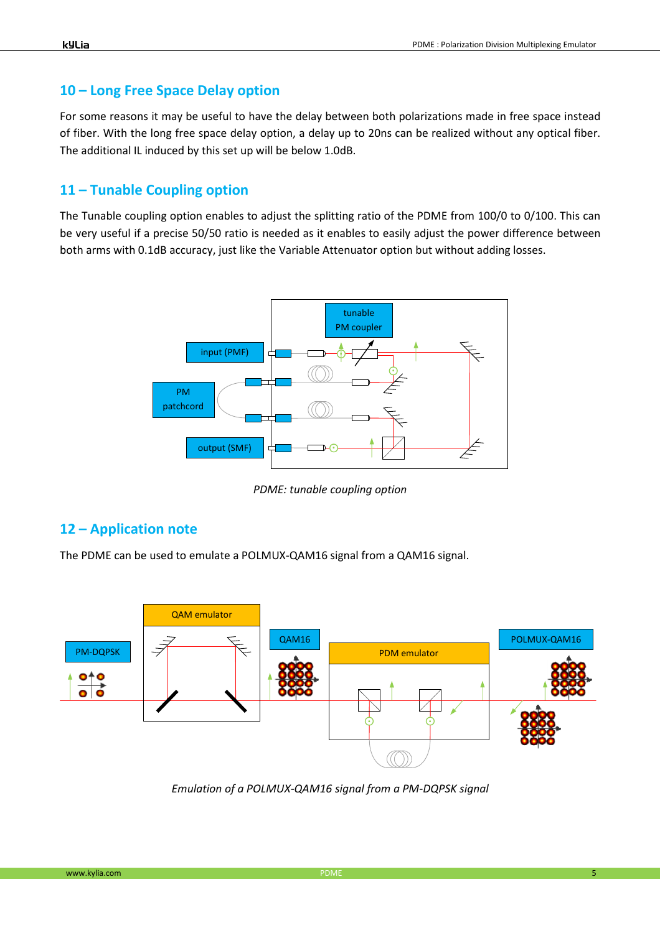### **10 – Long Free Space Delay option**

For some reasons it may be useful to have the delay between both polarizations made in free space instead of fiber. With the long free space delay option, a delay up to 20ns can be realized without any optical fiber. The additional IL induced by this set up will be below 1.0dB.

#### **11 – Tunable Coupling option**

The Tunable coupling option enables to adjust the splitting ratio of the PDME from 100/0 to 0/100. This can be very useful if a precise 50/50 ratio is needed as it enables to easily adjust the power difference between both arms with 0.1dB accuracy, just like the Variable Attenuator option but without adding losses.



*PDME: tunable coupling option* 

#### **12 – Application note**

The PDME can be used to emulate a POLMUX-QAM16 signal from a QAM16 signal.



*Emulation of a POLMUX-QAM16 signal from a PM-DQPSK signal*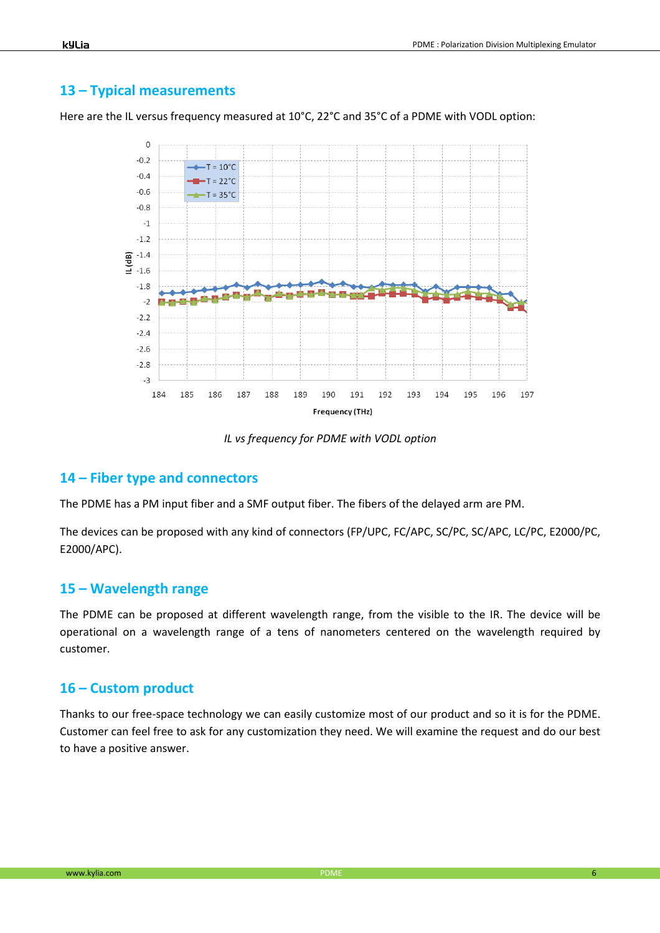#### **13 – Typical measurements**

Here are the IL versus frequency measured at 10°C, 22°C and 35°C of a PDME with VODL option:



*IL vs frequency for PDME with VODL option* 

#### **14 – Fiber type and connectors**

The PDME has a PM input fiber and a SMF output fiber. The fibers of the delayed arm are PM.

The devices can be proposed with any kind of connectors (FP/UPC, FC/APC, SC/PC, SC/APC, LC/PC, E2000/PC, E2000/APC).

#### **15 – Wavelength range**

The PDME can be proposed at different wavelength range, from the visible to the IR. The device will be operational on a wavelength range of a tens of nanometers centered on the wavelength required by customer.

#### **16 – Custom product**

Thanks to our free-space technology we can easily customize most of our product and so it is for the PDME. Customer can feel free to ask for any customization they need. We will examine the request and do our best to have a positive answer.